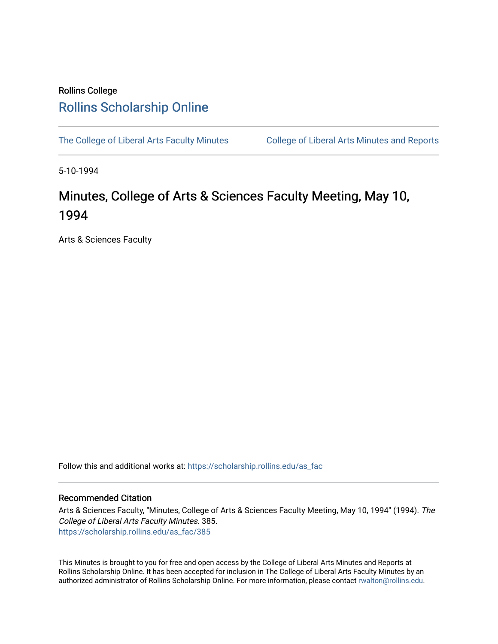# Rollins College [Rollins Scholarship Online](https://scholarship.rollins.edu/)

[The College of Liberal Arts Faculty Minutes](https://scholarship.rollins.edu/as_fac) College of Liberal Arts Minutes and Reports

5-10-1994

# Minutes, College of Arts & Sciences Faculty Meeting, May 10, 1994

Arts & Sciences Faculty

Follow this and additional works at: [https://scholarship.rollins.edu/as\\_fac](https://scholarship.rollins.edu/as_fac?utm_source=scholarship.rollins.edu%2Fas_fac%2F385&utm_medium=PDF&utm_campaign=PDFCoverPages) 

# Recommended Citation

Arts & Sciences Faculty, "Minutes, College of Arts & Sciences Faculty Meeting, May 10, 1994" (1994). The College of Liberal Arts Faculty Minutes. 385. [https://scholarship.rollins.edu/as\\_fac/385](https://scholarship.rollins.edu/as_fac/385?utm_source=scholarship.rollins.edu%2Fas_fac%2F385&utm_medium=PDF&utm_campaign=PDFCoverPages) 

This Minutes is brought to you for free and open access by the College of Liberal Arts Minutes and Reports at Rollins Scholarship Online. It has been accepted for inclusion in The College of Liberal Arts Faculty Minutes by an authorized administrator of Rollins Scholarship Online. For more information, please contact [rwalton@rollins.edu](mailto:rwalton@rollins.edu).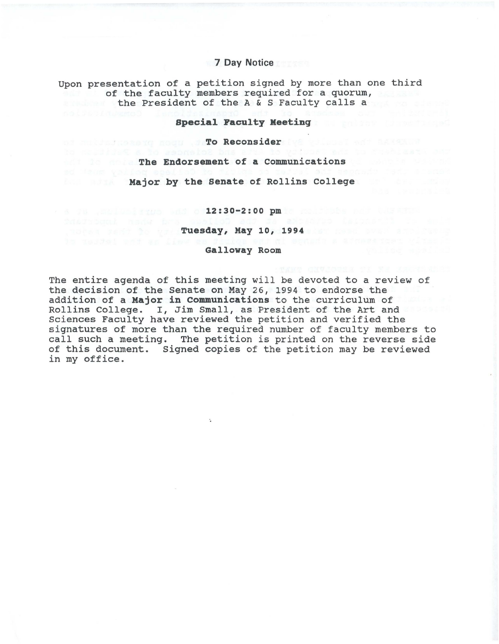## **7 Day Notice**

Upon presentation of a petition signed by more than one third of the faculty members required for a quorum, the President of the A & S Faculty calls a

### **Special Faculty Meeting**

of Reconsider the Reconsider to

**The Endorsement of a Communications** 

**Major by the Senate of Rollins College** 

**12:30-2:00 pm to** the self-but the self-but the self-but the self-but the self-but the self-but the self-but the self-but the self-but the self-but the self-but the self-but the self-but the self-but the self-but the self

**Tuesday, May 10, 1994** 

**Galloway Room** 

The entire agenda of this meeting will be devoted to a review of the decision of the Senate on May 26, 1994 to endorse the addition of a **Major in Communications** to the curriculum of Rollins College. I, Jim Small, as President of the Art and Sciences Faculty have reviewed the petition and verified the signatures of more than the required number of faculty members to call such a meeting. The petition is printed on the reverse side of this document. Signed copies of the petition may be reviewed in my office.

 $\ddot{\phantom{a}}$